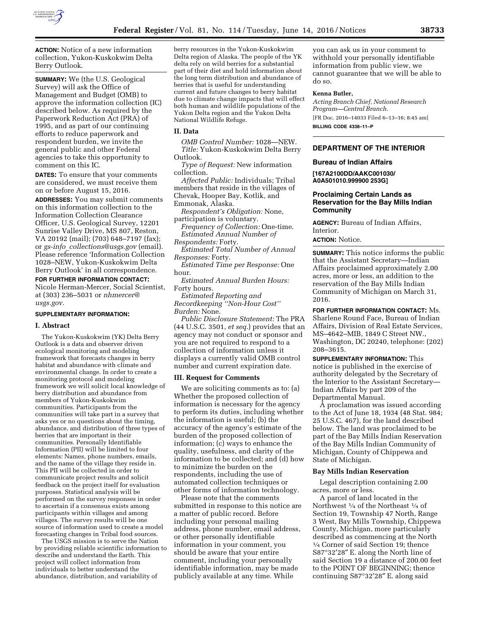

**ACTION:** Notice of a new information collection, Yukon-Kuskokwim Delta Berry Outlook.

**SUMMARY:** We (the U.S. Geological Survey) will ask the Office of Management and Budget (OMB) to approve the information collection (IC) described below. As required by the Paperwork Reduction Act (PRA) of 1995, and as part of our continuing efforts to reduce paperwork and respondent burden, we invite the general public and other Federal agencies to take this opportunity to comment on this IC.

**DATES:** To ensure that your comments are considered, we must receive them on or before August 15, 2016.

**ADDRESSES:** You may submit comments on this information collection to the Information Collection Clearance Officer, U.S. Geological Survey, 12201 Sunrise Valley Drive, MS 807, Reston, VA 20192 (mail); (703) 648–7197 (fax); or *gs-info*\_*[collections@usgs.gov](mailto:gs-info_collections@usgs.gov)* (email). Please reference 'Information Collection 1028–NEW, Yukon-Kuskokwim Delta Berry Outlook' in all correspondence.

**FOR FURTHER INFORMATION CONTACT:**  Nicole Herman-Mercer, Social Scientist, at (303) 236–5031 or *[nhmercer@](mailto:nhmercer@usgs.gov) [usgs.gov.](mailto:nhmercer@usgs.gov)* 

## **SUPPLEMENTARY INFORMATION:**

#### **I. Abstract**

The Yukon-Kuskokwim (YK) Delta Berry Outlook is a data and observer driven ecological monitoring and modeling framework that forecasts changes in berry habitat and abundance with climate and environmental change. In order to create a monitoring protocol and modeling framework we will solicit local knowledge of berry distribution and abundance from members of Yukon-Kuskokwim communities. Participants from the communities will take part in a survey that asks yes or no questions about the timing, abundance, and distribution of three types of berries that are important in their communities. Personally Identifiable Information (PII) will be limited to four elements: Names, phone numbers, emails, and the name of the village they reside in. This PII will be collected in order to communicate project results and solicit feedback on the project itself for evaluation purposes. Statistical analysis will be performed on the survey responses in order to ascertain if a consensus exists among participants within villages and among villages. The survey results will be one source of information used to create a model forecasting changes in Tribal food sources.

The USGS mission is to serve the Nation by providing reliable scientific information to describe and understand the Earth. This project will collect information from individuals to better understand the abundance, distribution, and variability of

berry resources in the Yukon-Kuskokwim Delta region of Alaska. The people of the YK delta rely on wild berries for a substantial part of their diet and hold information about the long term distribution and abundance of berries that is useful for understanding current and future changes to berry habitat due to climate change impacts that will effect both human and wildlife populations of the Yukon Delta region and the Yukon Delta National Wildlife Refuge.

# **II. Data**

*OMB Control Number:* 1028—NEW. *Title:* Yukon-Kuskokwim Delta Berry Outlook.

*Type of Request:* New information collection.

*Affected Public:* Individuals; Tribal members that reside in the villages of Chevak, Hooper Bay, Kotlik, and Emmonak, Alaska.

*Respondent's Obligation:* None, participation is voluntary.

*Frequency of Collection:* One-time. *Estimated Annual Number of Respondents:* Forty.

*Estimated Total Number of Annual Responses:* Forty.

*Estimated Time per Response:* One hour.

*Estimated Annual Burden Hours:*  Forty hours.

*Estimated Reporting and Recordkeeping ''Non-Hour Cost'' Burden:* None.

*Public Disclosure Statement:* The PRA (44 U.S.C. 3501, *et seq.*) provides that an agency may not conduct or sponsor and you are not required to respond to a collection of information unless it displays a currently valid OMB control number and current expiration date.

### **III. Request for Comments**

We are soliciting comments as to: (a) Whether the proposed collection of information is necessary for the agency to perform its duties, including whether the information is useful; (b) the accuracy of the agency's estimate of the burden of the proposed collection of information; (c) ways to enhance the quality, usefulness, and clarity of the information to be collected; and (d) how to minimize the burden on the respondents, including the use of automated collection techniques or other forms of information technology.

Please note that the comments submitted in response to this notice are a matter of public record. Before including your personal mailing address, phone number, email address, or other personally identifiable information in your comment, you should be aware that your entire comment, including your personally identifiable information, may be made publicly available at any time. While

you can ask us in your comment to withhold your personally identifiable information from public view, we cannot guarantee that we will be able to do so.

#### **Kenna Butler,**

*Acting Branch Chief, National Research Program—Central Branch.*  [FR Doc. 2016–14033 Filed 6–13–16; 8:45 am]

**BILLING CODE 4338–11–P** 

# **DEPARTMENT OF THE INTERIOR**

## **Bureau of Indian Affairs**

**[167A2100DD/AAKC001030/ A0A501010.999900 253G]** 

# **Proclaiming Certain Lands as Reservation for the Bay Mills Indian Community**

**AGENCY:** Bureau of Indian Affairs, Interior.

# **ACTION:** Notice.

**SUMMARY:** This notice informs the public that the Assistant Secretary—Indian Affairs proclaimed approximately 2.00 acres, more or less, an addition to the reservation of the Bay Mills Indian Community of Michigan on March 31, 2016.

**FOR FURTHER INFORMATION CONTACT:** Ms. Sharlene Round Face, Bureau of Indian Affairs, Division of Real Estate Services, MS–4642–MIB, 1849 C Street NW., Washington, DC 20240, telephone: (202) 208–3615.

**SUPPLEMENTARY INFORMATION:** This notice is published in the exercise of authority delegated by the Secretary of the Interior to the Assistant Secretary— Indian Affairs by part 209 of the Departmental Manual.

A proclamation was issued according to the Act of June 18, 1934 (48 Stat. 984; 25 U.S.C. 467), for the land described below. The land was proclaimed to be part of the Bay Mills Indian Reservation of the Bay Mills Indian Community of Michigan, County of Chippewa and State of Michigan.

# **Bay Mills Indian Reservation**

Legal description containing 2.00 acres, more or less.

A parcel of land located in the Northwest 1⁄4 of the Northeast 1⁄4 of Section 19, Township 47 North, Range 3 West, Bay Mills Township, Chippewa County, Michigan, more particularly described as commencing at the North 1⁄4 Corner of said Section 19; thence S87°32′28″ E. along the North line of said Section 19 a distance of 200.00 feet to the POINT OF BEGINNING; thence continuing S87°32′28″ E. along said